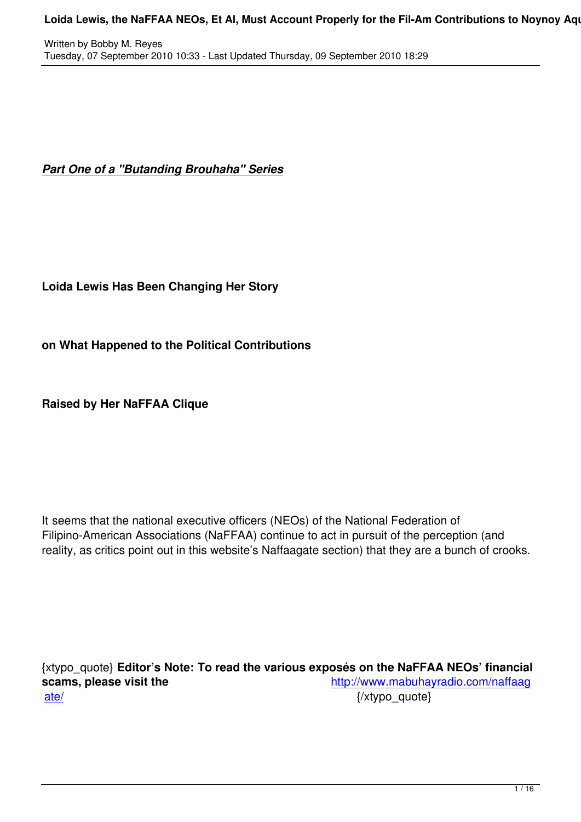*Part One of a "Butanding Brouhaha" Series*

**Loida Lewis Has Been Changing Her Story**

**on What Happened to the Political Contributions**

**Raised by Her NaFFAA Clique**

It seems that the national executive officers (NEOs) of the National Federation of Filipino-American Associations (NaFFAA) continue to act in pursuit of the perception (and reality, as critics point out in this website's Naffaagate section) that they are a bunch of crooks.

{xtypo\_quote} **Editor's Note: To read the various exposés on the NaFFAA NEOs' financial scams, please visit the** http://www.mabuhayradio.com/naffaag ate/  $\{/x$ typo\_quote}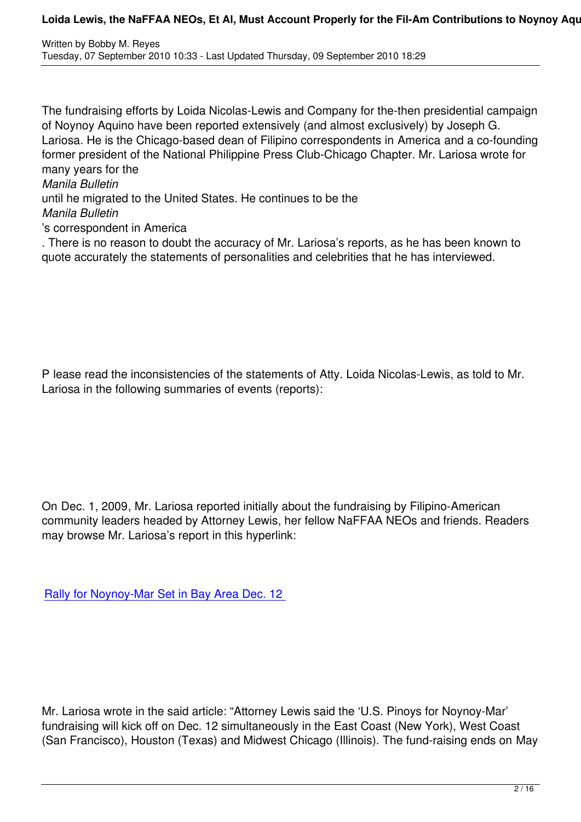The fundraising efforts by Loida Nicolas-Lewis and Company for the-then presidential campaign of Noynoy Aquino have been reported extensively (and almost exclusively) by Joseph G. Lariosa. He is the Chicago-based dean of Filipino correspondents in America and a co-founding former president of the National Philippine Press Club-Chicago Chapter. Mr. Lariosa wrote for many years for the

*Manila Bulletin*

until he migrated to the United States. He continues to be the

*Manila Bulletin*

's correspondent in America

. There is no reason to doubt the accuracy of Mr. Lariosa's reports, as he has been known to quote accurately the statements of personalities and celebrities that he has interviewed.

P lease read the inconsistencies of the statements of Atty. Loida Nicolas-Lewis, as told to Mr. Lariosa in the following summaries of events (reports):

On Dec. 1, 2009, Mr. Lariosa reported initially about the fundraising by Filipino-American community leaders headed by Attorney Lewis, her fellow NaFFAA NEOs and friends. Readers may browse Mr. Lariosa's report in this hyperlink:

Rally for Noynoy-Mar Set in Bay Area Dec. 12

Mr. Lariosa wrote in the said article: "Attorney Lewis said the 'U.S. Pinoys for Noynoy-Mar' fundraising will kick off on Dec. 12 simultaneously in the East Coast (New York), West Coast (San Francisco), Houston (Texas) and Midwest Chicago (Illinois). The fund-raising ends on May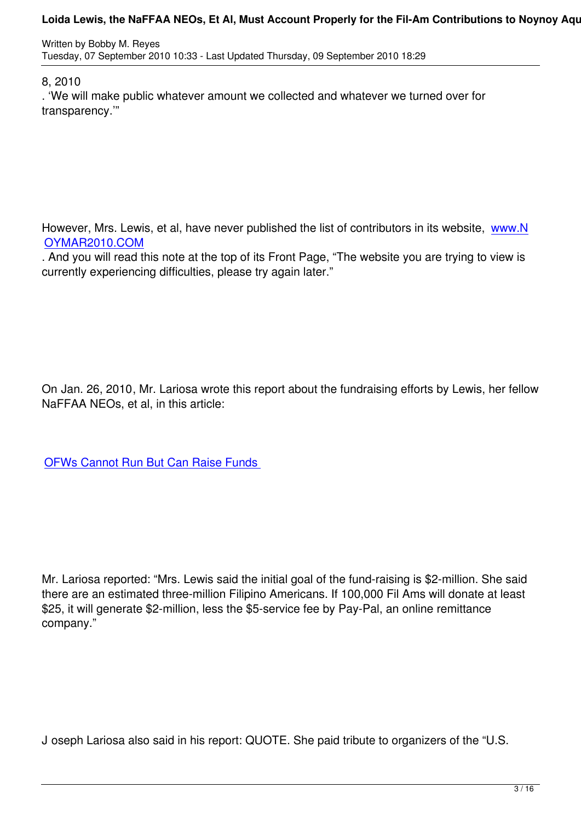8, 2010

. 'We will make public whatever amount we collected and whatever we turned over for transparency.'"

However, Mrs. Lewis, et al, have never published the list of contributors in its website, www.N OYMAR2010.COM

. And you will read this note at the top of its Front Page, "The website you are trying to view is currently experiencing difficulties, please try again later."

On Jan. 26, 2010, Mr. Lariosa wrote this report about the fundraising efforts by Lewis, her fellow NaFFAA NEOs, et al, in this article:

OFWs Cannot Run But Can Raise Funds

Mr. Lariosa reported: "Mrs. Lewis said the initial goal of the fund-raising is \$2-million. She said there are an estimated three-million Filipino Americans. If 100,000 Fil Ams will donate at least \$25, it will generate \$2-million, less the \$5-service fee by Pay-Pal, an online remittance company."

J oseph Lariosa also said in his report: QUOTE. She paid tribute to organizers of the "U.S.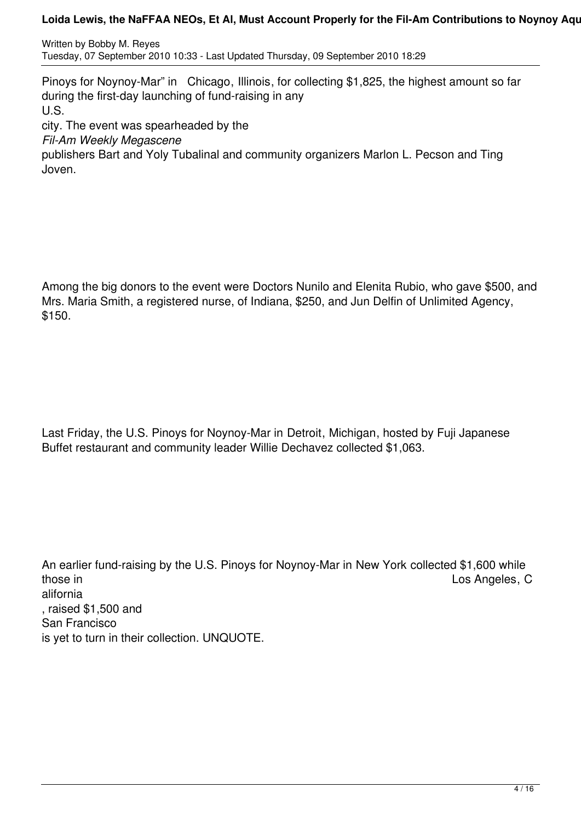Written by Bobby M. Reyes Tuesday, 07 September 2010 10:33 - Last Updated Thursday, 09 September 2010 18:29

Pinoys for Noynoy-Mar" in Chicago, Illinois, for collecting \$1,825, the highest amount so far during the first-day launching of fund-raising in any U.S. city. The event was spearheaded by the *Fil-Am Weekly Megascene* publishers Bart and Yoly Tubalinal and community organizers Marlon L. Pecson and Ting Joven.

Among the big donors to the event were Doctors Nunilo and Elenita Rubio, who gave \$500, and Mrs. Maria Smith, a registered nurse, of Indiana, \$250, and Jun Delfin of Unlimited Agency, \$150.

Last Friday, the U.S. Pinoys for Noynoy-Mar in Detroit, Michigan, hosted by Fuji Japanese Buffet restaurant and community leader Willie Dechavez collected \$1,063.

An earlier fund-raising by the U.S. Pinoys for Noynoy-Mar in New York collected \$1,600 while those in Los Angeles, C alifornia , raised \$1,500 and San Francisco is yet to turn in their collection. UNQUOTE.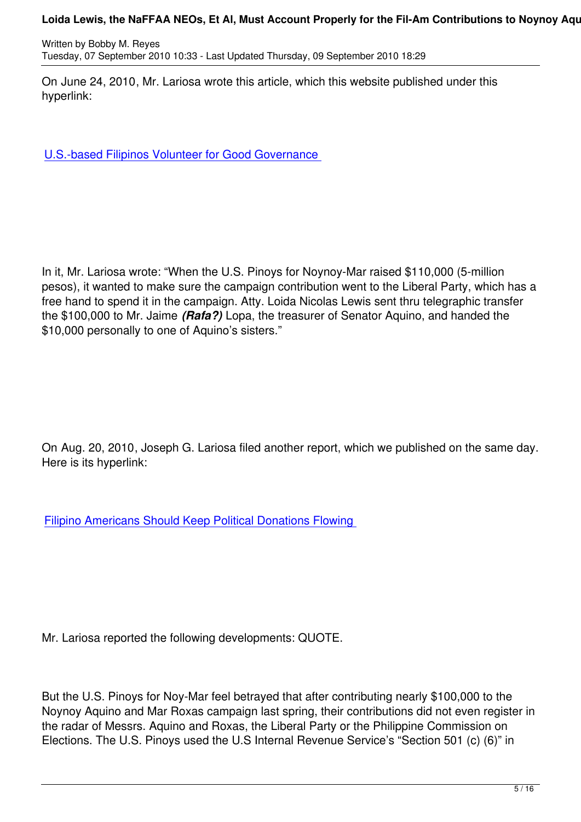On June 24, 2010, Mr. Lariosa wrote this article, which this website published under this hyperlink:

U.S.-based Filipinos Volunteer for Good Governance

In it, Mr. Lariosa wrote: "When the U.S. Pinoys for Noynoy-Mar raised \$110,000 (5-million pesos), it wanted to make sure the campaign contribution went to the Liberal Party, which has a free hand to spend it in the campaign. Atty. Loida Nicolas Lewis sent thru telegraphic transfer the \$100,000 to Mr. Jaime *(Rafa?)* Lopa, the treasurer of Senator Aquino, and handed the \$10,000 personally to one of Aquino's sisters."

On Aug. 20, 2010, Joseph G. Lariosa filed another report, which we published on the same day. Here is its hyperlink:

Filipino Americans Should Keep Political Donations Flowing

Mr. Lariosa reported the following developments: QUOTE.

But the U.S. Pinoys for Noy-Mar feel betrayed that after contributing nearly \$100,000 to the Noynoy Aquino and Mar Roxas campaign last spring, their contributions did not even register in the radar of Messrs. Aquino and Roxas, the Liberal Party or the Philippine Commission on Elections. The U.S. Pinoys used the U.S Internal Revenue Service's "Section 501 (c) (6)" in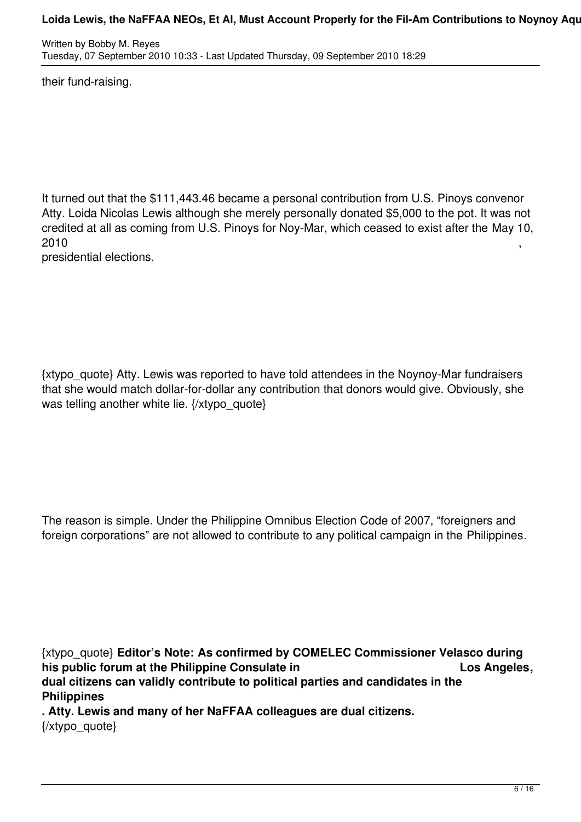Written by Bobby M. Reyes Tuesday, 07 September 2010 10:33 - Last Updated Thursday, 09 September 2010 18:29

their fund-raising.

It turned out that the \$111,443.46 became a personal contribution from U.S. Pinoys convenor Atty. Loida Nicolas Lewis although she merely personally donated \$5,000 to the pot. It was not credited at all as coming from U.S. Pinoys for Noy-Mar, which ceased to exist after the May 10,  $2010$ , we have the contract of  $\sim$  ,  $\sim$ 

presidential elections.

{xtypo\_quote} Atty. Lewis was reported to have told attendees in the Noynoy-Mar fundraisers that she would match dollar-for-dollar any contribution that donors would give. Obviously, she was telling another white lie. {/xtypo\_quote}

The reason is simple. Under the Philippine Omnibus Election Code of 2007, "foreigners and foreign corporations" are not allowed to contribute to any political campaign in the Philippines.

{xtypo\_quote} **Editor's Note: As confirmed by COMELEC Commissioner Velasco during** his public forum at the Philippine Consulate in **Los Angeles**, **dual citizens can validly contribute to political parties and candidates in the Philippines**

**. Atty. Lewis and many of her NaFFAA colleagues are dual citizens.** {/xtypo\_quote}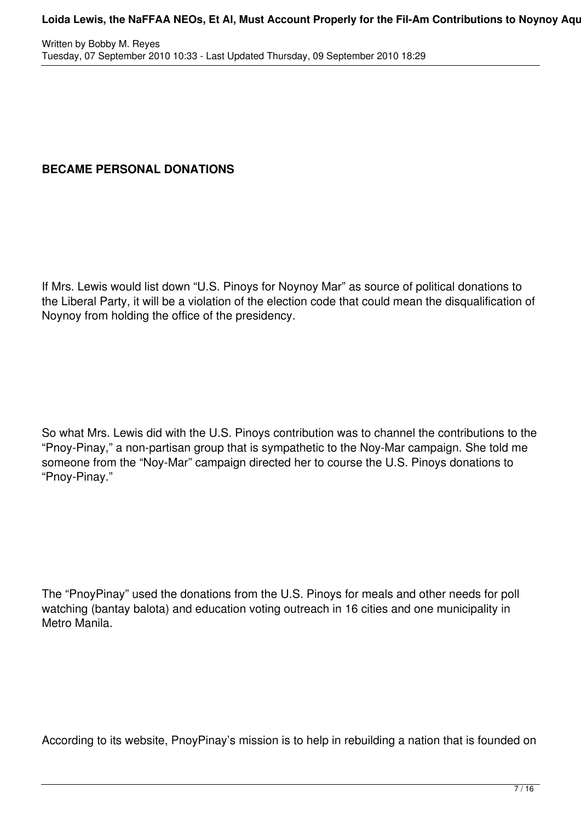# **BECAME PERSONAL DONATIONS**

If Mrs. Lewis would list down "U.S. Pinoys for Noynoy Mar" as source of political donations to the Liberal Party, it will be a violation of the election code that could mean the disqualification of Noynoy from holding the office of the presidency.

So what Mrs. Lewis did with the U.S. Pinoys contribution was to channel the contributions to the "Pnoy-Pinay," a non-partisan group that is sympathetic to the Noy-Mar campaign. She told me someone from the "Noy-Mar" campaign directed her to course the U.S. Pinoys donations to "Pnoy-Pinay."

The "PnoyPinay" used the donations from the U.S. Pinoys for meals and other needs for poll watching (bantay balota) and education voting outreach in 16 cities and one municipality in Metro Manila.

According to its website, PnoyPinay's mission is to help in rebuilding a nation that is founded on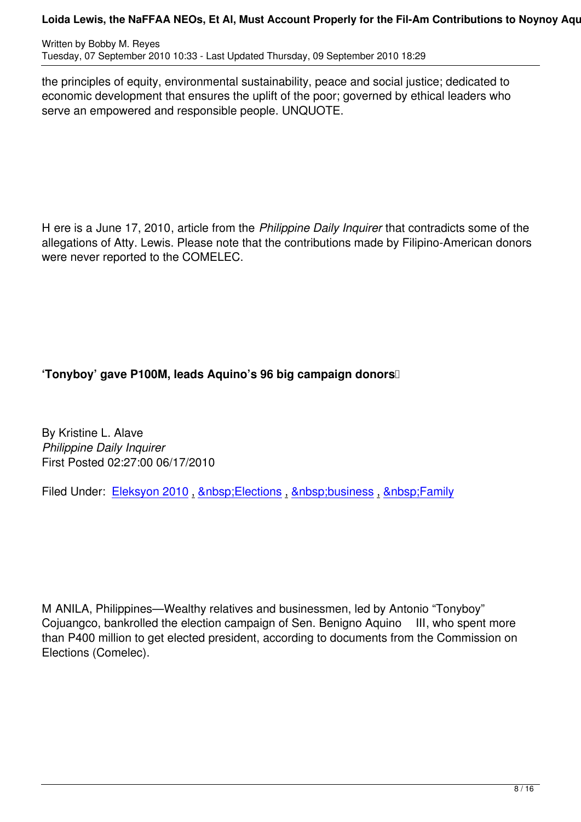the principles of equity, environmental sustainability, peace and social justice; dedicated to economic development that ensures the uplift of the poor; governed by ethical leaders who serve an empowered and responsible people. UNQUOTE.

H ere is a June 17, 2010, article from the *Philippine Daily Inquirer* that contradicts some of the allegations of Atty. Lewis. Please note that the contributions made by Filipino-American donors were never reported to the COMELEC.

# **'Tonyboy' gave P100M, leads Aquino's 96 big campaign donors**

By Kristine L. Alave *Philippine Daily Inquirer* First Posted 02:27:00 06/17/2010

Filed Under: Eleksyon 2010, Elections, business, Family

M ANILA, Philippines—Wealthy relatives and businessmen, led by Antonio "Tonyboy" Cojuangco, bankrolled the election campaign of Sen. Benigno Aquino III, who spent more than P400 million to get elected president, according to documents from the Commission on Elections (Comelec).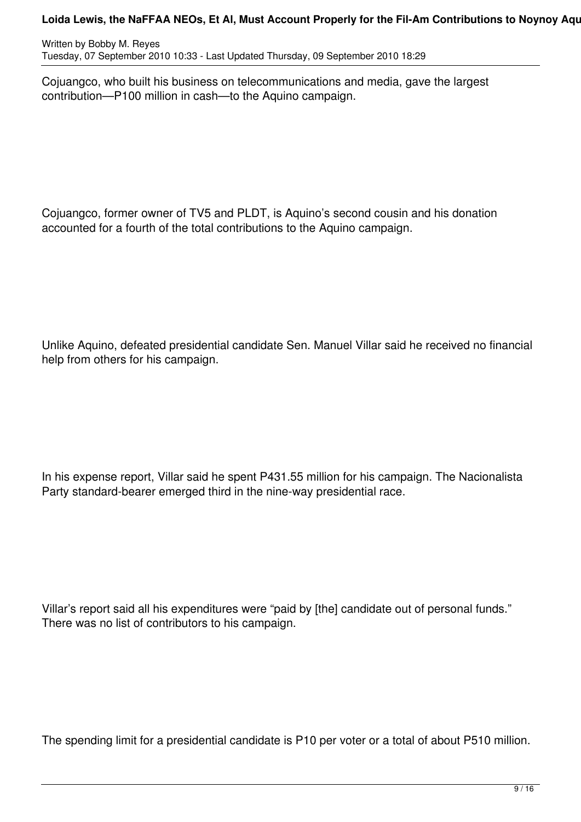Written by Bobby M. Reyes Tuesday, 07 September 2010 10:33 - Last Updated Thursday, 09 September 2010 18:29

Cojuangco, who built his business on telecommunications and media, gave the largest contribution—P100 million in cash—to the Aquino campaign.

Cojuangco, former owner of TV5 and PLDT, is Aquino's second cousin and his donation accounted for a fourth of the total contributions to the Aquino campaign.

Unlike Aquino, defeated presidential candidate Sen. Manuel Villar said he received no financial help from others for his campaign.

In his expense report, Villar said he spent P431.55 million for his campaign. The Nacionalista Party standard-bearer emerged third in the nine-way presidential race.

Villar's report said all his expenditures were "paid by [the] candidate out of personal funds." There was no list of contributors to his campaign.

The spending limit for a presidential candidate is P10 per voter or a total of about P510 million.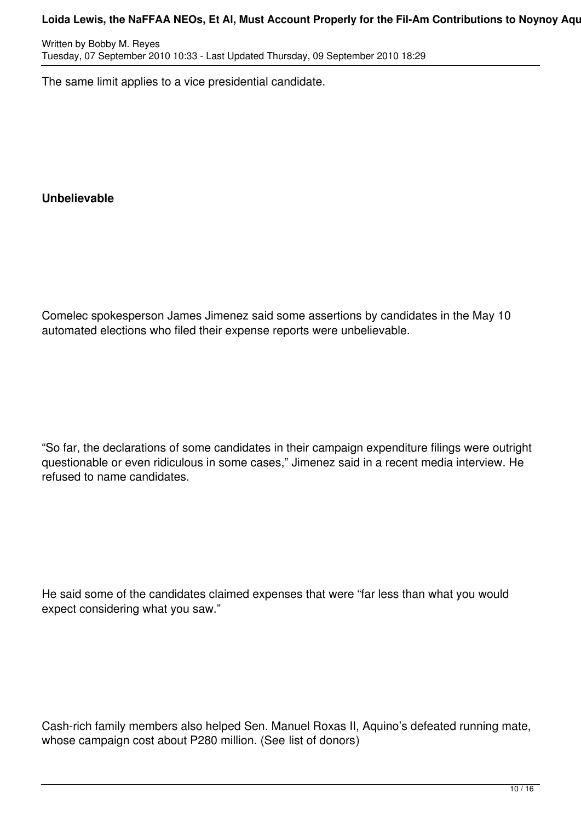Written by Bobby M. Reyes Tuesday, 07 September 2010 10:33 - Last Updated Thursday, 09 September 2010 18:29

The same limit applies to a vice presidential candidate.

**Unbelievable**

Comelec spokesperson James Jimenez said some assertions by candidates in the May 10 automated elections who filed their expense reports were unbelievable.

"So far, the declarations of some candidates in their campaign expenditure filings were outright questionable or even ridiculous in some cases," Jimenez said in a recent media interview. He refused to name candidates.

He said some of the candidates claimed expenses that were "far less than what you would expect considering what you saw."

Cash-rich family members also helped Sen. Manuel Roxas II, Aquino's defeated running mate, whose campaign cost about P280 million. (See list of donors)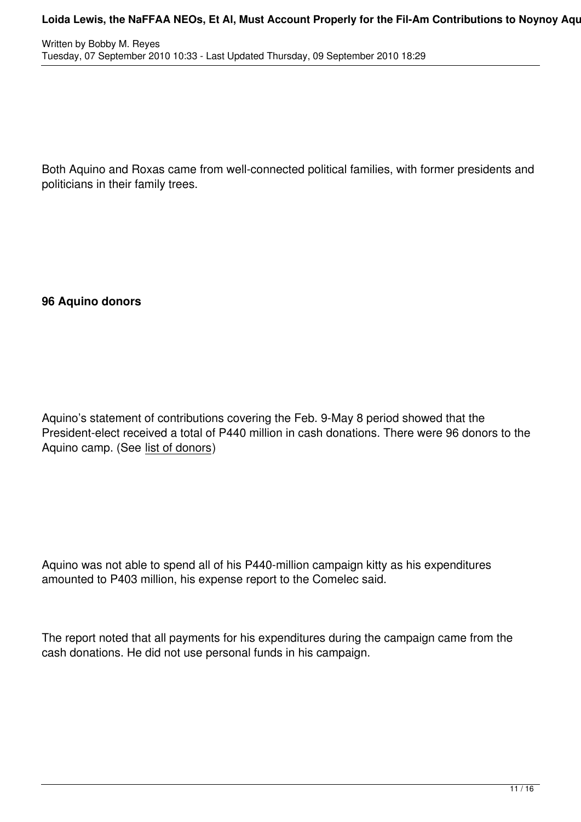Both Aquino and Roxas came from well-connected political families, with former presidents and politicians in their family trees.

# **96 Aquino donors**

Aquino's statement of contributions covering the Feb. 9-May 8 period showed that the President-elect received a total of P440 million in cash donations. There were 96 donors to the Aquino camp. (See list of donors)

Aquino was not able to spend all of his P440-million campaign kitty as his expenditures amounted to P403 million, his expense report to the Comelec said.

The report noted that all payments for his expenditures during the campaign came from the cash donations. He did not use personal funds in his campaign.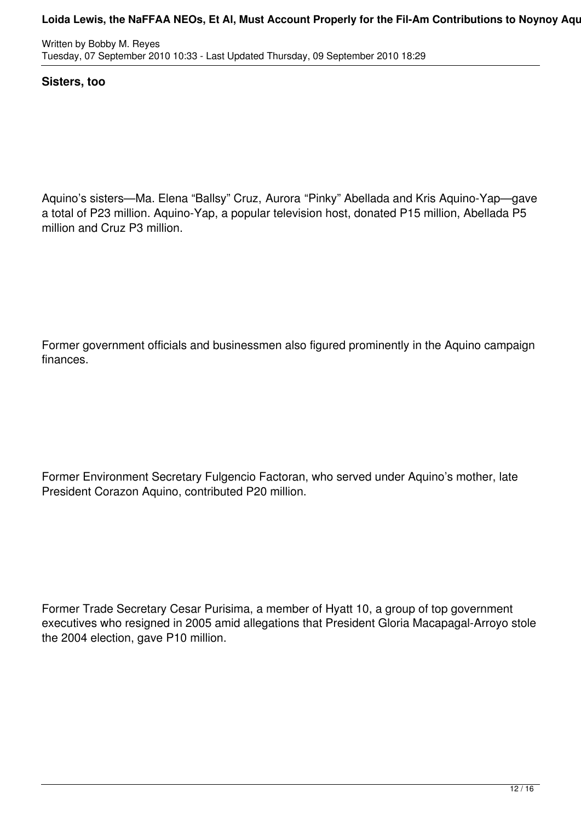Written by Bobby M. Reyes Tuesday, 07 September 2010 10:33 - Last Updated Thursday, 09 September 2010 18:29

**Sisters, too**

Aquino's sisters—Ma. Elena "Ballsy" Cruz, Aurora "Pinky" Abellada and Kris Aquino-Yap—gave a total of P23 million. Aquino-Yap, a popular television host, donated P15 million, Abellada P5 million and Cruz P3 million.

Former government officials and businessmen also figured prominently in the Aquino campaign finances.

Former Environment Secretary Fulgencio Factoran, who served under Aquino's mother, late President Corazon Aquino, contributed P20 million.

Former Trade Secretary Cesar Purisima, a member of Hyatt 10, a group of top government executives who resigned in 2005 amid allegations that President Gloria Macapagal-Arroyo stole the 2004 election, gave P10 million.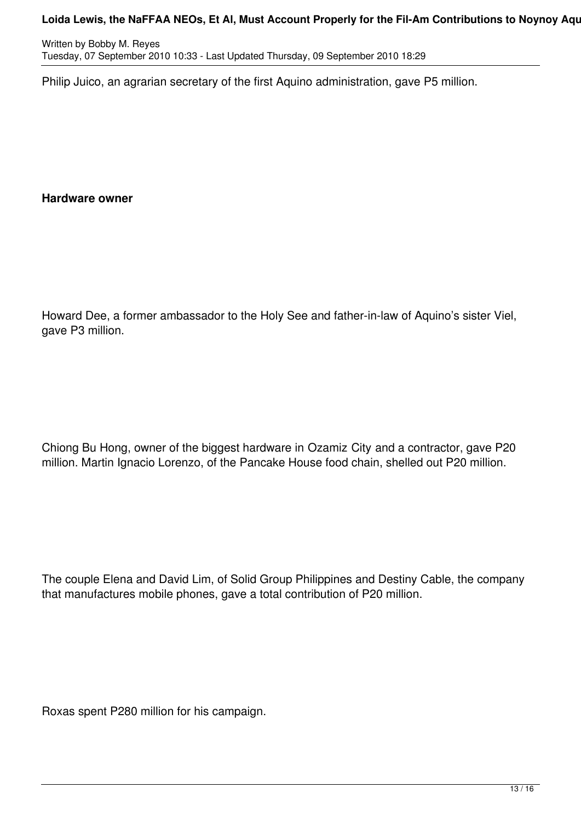Written by Bobby M. Reyes Tuesday, 07 September 2010 10:33 - Last Updated Thursday, 09 September 2010 18:29

Philip Juico, an agrarian secretary of the first Aquino administration, gave P5 million.

**Hardware owner**

Howard Dee, a former ambassador to the Holy See and father-in-law of Aquino's sister Viel, gave P3 million.

Chiong Bu Hong, owner of the biggest hardware in Ozamiz City and a contractor, gave P20 million. Martin Ignacio Lorenzo, of the Pancake House food chain, shelled out P20 million.

The couple Elena and David Lim, of Solid Group Philippines and Destiny Cable, the company that manufactures mobile phones, gave a total contribution of P20 million.

Roxas spent P280 million for his campaign.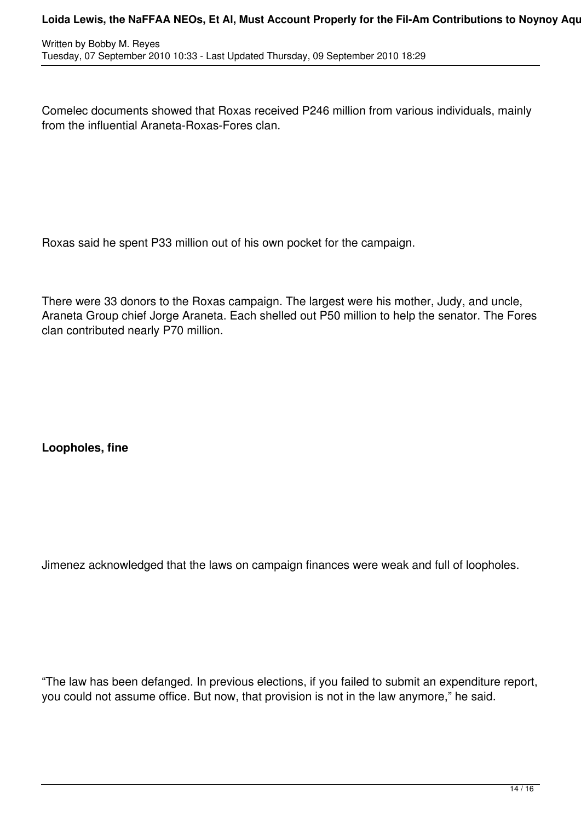Comelec documents showed that Roxas received P246 million from various individuals, mainly from the influential Araneta-Roxas-Fores clan.

Roxas said he spent P33 million out of his own pocket for the campaign.

There were 33 donors to the Roxas campaign. The largest were his mother, Judy, and uncle, Araneta Group chief Jorge Araneta. Each shelled out P50 million to help the senator. The Fores clan contributed nearly P70 million.

**Loopholes, fine**

Jimenez acknowledged that the laws on campaign finances were weak and full of loopholes.

"The law has been defanged. In previous elections, if you failed to submit an expenditure report, you could not assume office. But now, that provision is not in the law anymore," he said.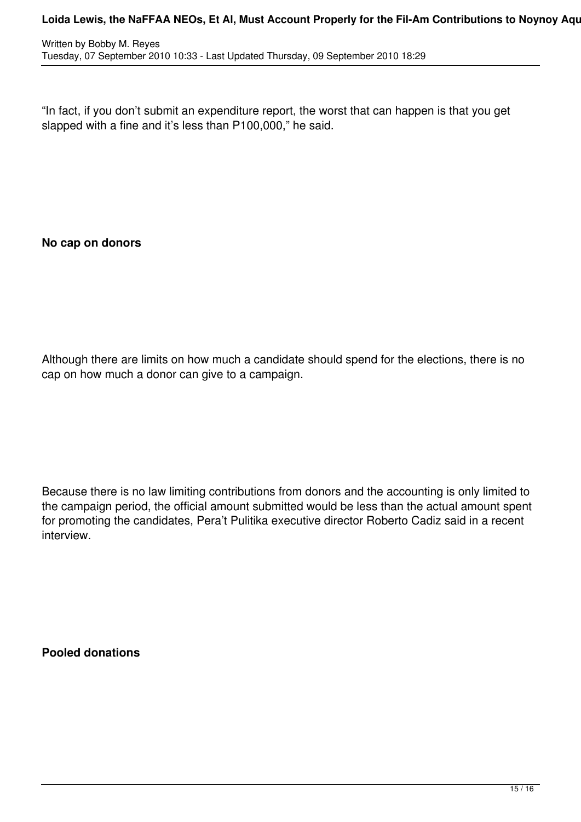"In fact, if you don't submit an expenditure report, the worst that can happen is that you get slapped with a fine and it's less than P100,000," he said.

**No cap on donors**

Although there are limits on how much a candidate should spend for the elections, there is no cap on how much a donor can give to a campaign.

Because there is no law limiting contributions from donors and the accounting is only limited to the campaign period, the official amount submitted would be less than the actual amount spent for promoting the candidates, Pera't Pulitika executive director Roberto Cadiz said in a recent interview.

**Pooled donations**